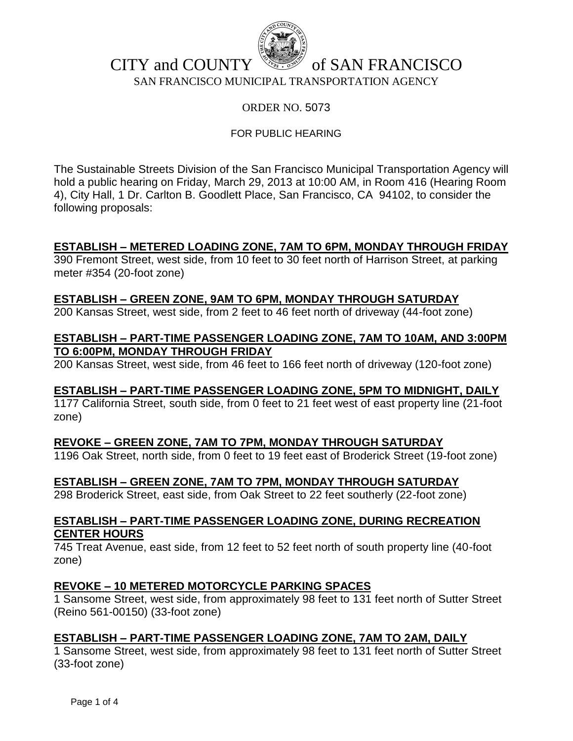

## CITY and COUNTY  $\mathbb{R}^3$  of SAN FRANCISCO SAN FRANCISCO MUNICIPAL TRANSPORTATION AGENCY

## ORDER NO. 5073

## FOR PUBLIC HEARING

The Sustainable Streets Division of the San Francisco Municipal Transportation Agency will hold a public hearing on Friday, March 29, 2013 at 10:00 AM, in Room 416 (Hearing Room 4), City Hall, 1 Dr. Carlton B. Goodlett Place, San Francisco, CA 94102, to consider the following proposals:

## **ESTABLISH – METERED LOADING ZONE, 7AM TO 6PM, MONDAY THROUGH FRIDAY**

390 Fremont Street, west side, from 10 feet to 30 feet north of Harrison Street, at parking meter #354 (20-foot zone)

## **ESTABLISH – GREEN ZONE, 9AM TO 6PM, MONDAY THROUGH SATURDAY**

200 Kansas Street, west side, from 2 feet to 46 feet north of driveway (44-foot zone)

## **ESTABLISH – PART-TIME PASSENGER LOADING ZONE, 7AM TO 10AM, AND 3:00PM TO 6:00PM, MONDAY THROUGH FRIDAY**

200 Kansas Street, west side, from 46 feet to 166 feet north of driveway (120-foot zone)

## **ESTABLISH – PART-TIME PASSENGER LOADING ZONE, 5PM TO MIDNIGHT, DAILY**

1177 California Street, south side, from 0 feet to 21 feet west of east property line (21-foot zone)

## **REVOKE – GREEN ZONE, 7AM TO 7PM, MONDAY THROUGH SATURDAY**

1196 Oak Street, north side, from 0 feet to 19 feet east of Broderick Street (19-foot zone)

## **ESTABLISH – GREEN ZONE, 7AM TO 7PM, MONDAY THROUGH SATURDAY**

298 Broderick Street, east side, from Oak Street to 22 feet southerly (22-foot zone)

### **ESTABLISH – PART-TIME PASSENGER LOADING ZONE, DURING RECREATION CENTER HOURS**

745 Treat Avenue, east side, from 12 feet to 52 feet north of south property line (40-foot zone)

## **REVOKE – 10 METERED MOTORCYCLE PARKING SPACES**

1 Sansome Street, west side, from approximately 98 feet to 131 feet north of Sutter Street (Reino 561-00150) (33-foot zone)

## **ESTABLISH – PART-TIME PASSENGER LOADING ZONE, 7AM TO 2AM, DAILY**

1 Sansome Street, west side, from approximately 98 feet to 131 feet north of Sutter Street (33-foot zone)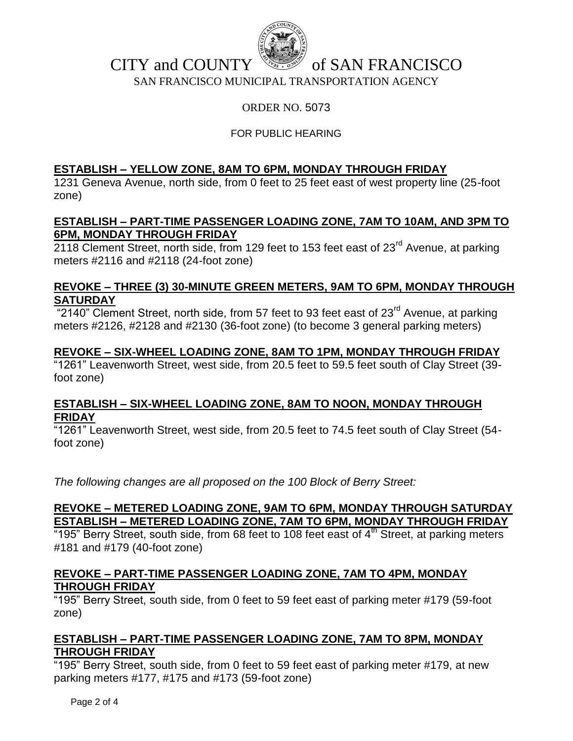

# CITY and COUNTY  $\mathbb{R}^3$  of SAN FRANCISCO

SAN FRANCISCO MUNICIPAL TRANSPORTATION AGENCY

## ORDER NO. 5073

## FOR PUBLIC HEARING

## **ESTABLISH – YELLOW ZONE, 8AM TO 6PM, MONDAY THROUGH FRIDAY**

1231 Geneva Avenue, north side, from 0 feet to 25 feet east of west property line (25-foot zone)

## **ESTABLISH – PART-TIME PASSENGER LOADING ZONE, 7AM TO 10AM, AND 3PM TO 6PM, MONDAY THROUGH FRIDAY**

2118 Clement Street, north side, from 129 feet to 153 feet east of 23<sup>rd</sup> Avenue, at parking meters #2116 and #2118 (24-foot zone)

## **REVOKE – THREE (3) 30-MINUTE GREEN METERS, 9AM TO 6PM, MONDAY THROUGH SATURDAY**

 $"2140"$  Clement Street, north side, from 57 feet to 93 feet east of 23 $"$ d Avenue, at parking meters #2126, #2128 and #2130 (36-foot zone) (to become 3 general parking meters)

## **REVOKE – SIX-WHEEL LOADING ZONE, 8AM TO 1PM, MONDAY THROUGH FRIDAY**

"1261" Leavenworth Street, west side, from 20.5 feet to 59.5 feet south of Clay Street (39 foot zone)

## **ESTABLISH – SIX-WHEEL LOADING ZONE, 8AM TO NOON, MONDAY THROUGH FRIDAY**

"1261" Leavenworth Street, west side, from 20.5 feet to 74.5 feet south of Clay Street (54foot zone)

*The following changes are all proposed on the 100 Block of Berry Street:*

## **REVOKE – METERED LOADING ZONE, 9AM TO 6PM, MONDAY THROUGH SATURDAY ESTABLISH – METERED LOADING ZONE, 7AM TO 6PM, MONDAY THROUGH FRIDAY**

 $195$ " Berry Street, south side, from 68 feet to 108 feet east of  $4<sup>th</sup>$  Street, at parking meters #181 and #179 (40-foot zone)

## **REVOKE – PART-TIME PASSENGER LOADING ZONE, 7AM TO 4PM, MONDAY THROUGH FRIDAY**

"195" Berry Street, south side, from 0 feet to 59 feet east of parking meter #179 (59-foot zone)

## **ESTABLISH – PART-TIME PASSENGER LOADING ZONE, 7AM TO 8PM, MONDAY THROUGH FRIDAY**

"195" Berry Street, south side, from 0 feet to 59 feet east of parking meter #179, at new parking meters #177, #175 and #173 (59-foot zone)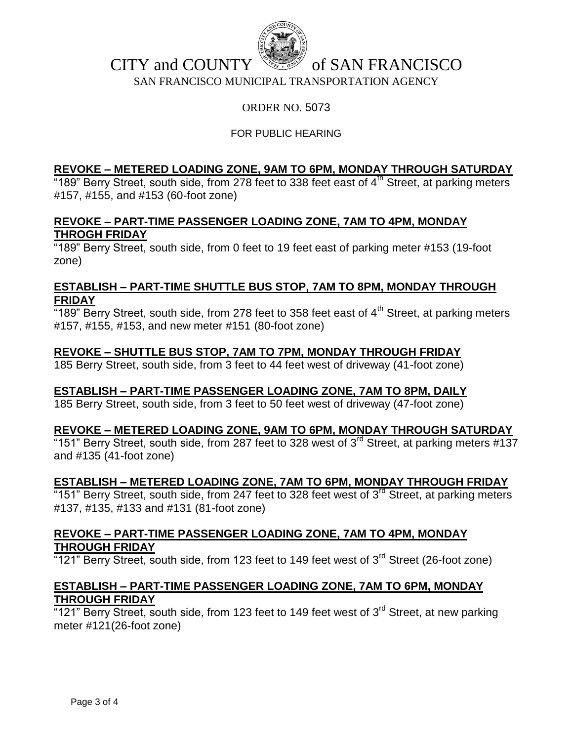

## CITY and COUNTY  $\mathbb{R}^3$  of SAN FRANCISCO

SAN FRANCISCO MUNICIPAL TRANSPORTATION AGENCY

## ORDER NO. 5073

## FOR PUBLIC HEARING

## **REVOKE – METERED LOADING ZONE, 9AM TO 6PM, MONDAY THROUGH SATURDAY**

 $189$ " Berry Street, south side, from 278 feet to 338 feet east of  $4<sup>th</sup>$  Street, at parking meters #157, #155, and #153 (60-foot zone)

## **REVOKE – PART-TIME PASSENGER LOADING ZONE, 7AM TO 4PM, MONDAY THROGH FRIDAY**

"189" Berry Street, south side, from 0 feet to 19 feet east of parking meter #153 (19-foot zone)

### **ESTABLISH – PART-TIME SHUTTLE BUS STOP, 7AM TO 8PM, MONDAY THROUGH FRIDAY**

 $\overline{189}$ " Berry Street, south side, from 278 feet to 358 feet east of 4<sup>th</sup> Street, at parking meters #157, #155, #153, and new meter #151 (80-foot zone)

## **REVOKE – SHUTTLE BUS STOP, 7AM TO 7PM, MONDAY THROUGH FRIDAY**

185 Berry Street, south side, from 3 feet to 44 feet west of driveway (41-foot zone)

## **ESTABLISH – PART-TIME PASSENGER LOADING ZONE, 7AM TO 8PM, DAILY**

185 Berry Street, south side, from 3 feet to 50 feet west of driveway (47-foot zone)

## **REVOKE – METERED LOADING ZONE, 9AM TO 6PM, MONDAY THROUGH SATURDAY**

 $151$ " Berry Street, south side, from 287 feet to 328 west of 3 $^{rd}$  Street, at parking meters #137 and #135 (41-foot zone)

#### **ESTABLISH – METERED LOADING ZONE, 7AM TO 6PM, MONDAY THROUGH FRIDAY**

 $151$ " Berry Street, south side, from 247 feet to 328 feet west of  $3^{rd}$  Street, at parking meters #137, #135, #133 and #131 (81-foot zone)

### **REVOKE – PART-TIME PASSENGER LOADING ZONE, 7AM TO 4PM, MONDAY THROUGH FRIDAY**

 $121$ " Berry Street, south side, from 123 feet to 149 feet west of  $3<sup>rd</sup>$  Street (26-foot zone)

## **ESTABLISH – PART-TIME PASSENGER LOADING ZONE, 7AM TO 6PM, MONDAY THROUGH FRIDAY**

"121" Berry Street, south side, from 123 feet to 149 feet west of  $3<sup>rd</sup>$  Street, at new parking meter #121(26-foot zone)